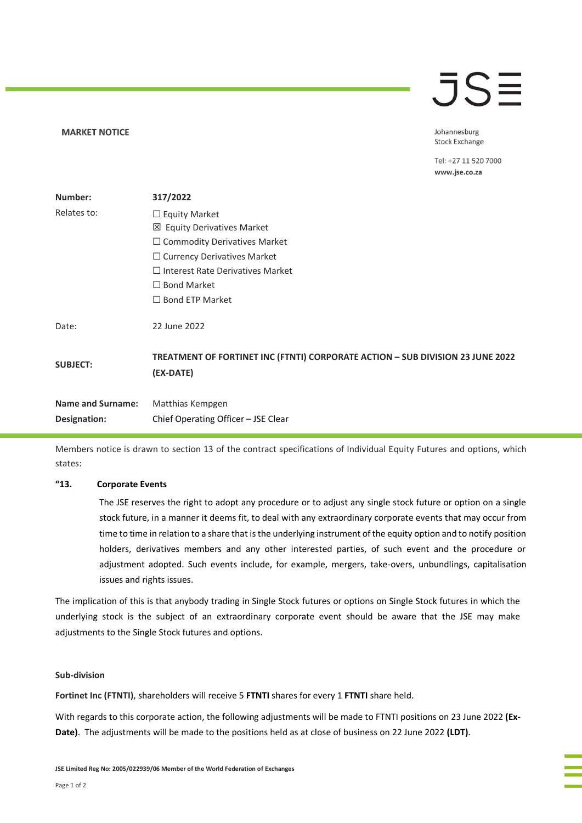#### **MARKET NOTICE**

# **JSE**

Johannesburg **Stock Exchange** 

Tel: +27 11 520 7000 www.jse.co.za

| Number:                                  | 317/2022                                                                                    |  |
|------------------------------------------|---------------------------------------------------------------------------------------------|--|
| Relates to:                              | $\Box$ Equity Market                                                                        |  |
|                                          | ⊠ Equity Derivatives Market                                                                 |  |
|                                          | $\Box$ Commodity Derivatives Market                                                         |  |
|                                          | $\Box$ Currency Derivatives Market                                                          |  |
|                                          | $\Box$ Interest Rate Derivatives Market                                                     |  |
|                                          | $\Box$ Bond Market                                                                          |  |
|                                          | $\Box$ Bond ETP Market                                                                      |  |
| Date:                                    | 22 June 2022                                                                                |  |
| <b>SUBJECT:</b>                          | TREATMENT OF FORTINET INC (FTNTI) CORPORATE ACTION - SUB DIVISION 23 JUNE 2022<br>(EX-DATE) |  |
| <b>Name and Surname:</b><br>Designation: | Matthias Kempgen<br>Chief Operating Officer - JSE Clear                                     |  |
|                                          |                                                                                             |  |

Members notice is drawn to section 13 of the contract specifications of Individual Equity Futures and options, which states:

### **"13. Corporate Events**

The JSE reserves the right to adopt any procedure or to adjust any single stock future or option on a single stock future, in a manner it deems fit, to deal with any extraordinary corporate events that may occur from time to time in relation to a share that is the underlying instrument of the equity option and to notify position holders, derivatives members and any other interested parties, of such event and the procedure or adjustment adopted. Such events include, for example, mergers, take-overs, unbundlings, capitalisation issues and rights issues.

The implication of this is that anybody trading in Single Stock futures or options on Single Stock futures in which the underlying stock is the subject of an extraordinary corporate event should be aware that the JSE may make adjustments to the Single Stock futures and options.

#### **Sub-division**

**Fortinet Inc (FTNTI)**, shareholders will receive 5 **FTNTI** shares for every 1 **FTNTI** share held.

With regards to this corporate action, the following adjustments will be made to FTNTI positions on 23 June 2022 **(Ex-Date)**. The adjustments will be made to the positions held as at close of business on 22 June 2022 **(LDT)**.